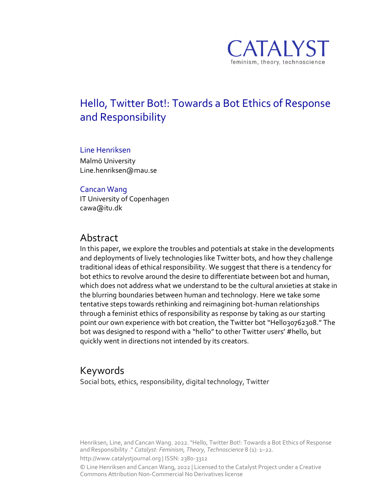

# Hello, Twitter Bot!: Towards a Bot Ethics of Response and Responsibility

#### Line Henriksen

Malmö University Line.henriksen@mau.se

#### Cancan Wang

IT University of Copenhagen cawa@itu.dk

### Abstract

In this paper, we explore the troubles and potentials at stake in the developments and deployments of lively technologies like Twitter bots, and how they challenge traditional ideas of ethical responsibility. We suggest that there is a tendency for bot ethics to revolve around the desire to differentiate between bot and human, which does not address what we understand to be the cultural anxieties at stake in the blurring boundaries between human and technology. Here we take some tentative steps towards rethinking and reimagining bot-human relationships through a feminist ethics of responsibility as response by taking as our starting point our own experience with bot creation, the Twitter bot "Hello30762308." The bot was designed to respond with a "hello"to other Twitter users' #hello, but quickly went in directions not intended by its creators.

### Keywords

Social bots, ethics, responsibility, digital technology, Twitter

Henriksen, Line, and Cancan Wang. 2022. "Hello, Twitter Bot!: Towards a Bot Ethics of Response and Responsibility ." *Catalyst: Feminism, Theory, Technoscience* 8 (1): 1–22.

http://www.catalystjournal.org | ISSN: 2380-3312

© Line Henriksen and Cancan Wang, 2022 | Licensed to the Catalyst Project under a Creative Commons Attribution Non-Commercial No Derivatives license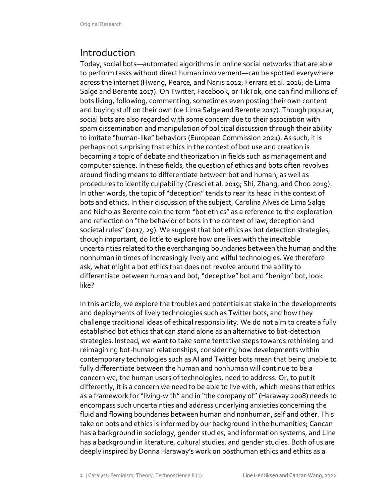# Introduction

Today, social bots—automated algorithms in online social networks that are able to perform tasks without direct human involvement—can be spotted everywhere across the internet (Hwang, Pearce, and Nanis 2012; Ferrara et al. 2016; de Lima Salge and Berente 2017). On Twitter, Facebook, or TikTok, one can find millions of bots liking, following, commenting, sometimes even posting their own content and buying stuff on their own (de Lima Salge and Berente 2017). Though popular, social bots are also regarded with some concern due to their association with spam dissemination and manipulation of political discussion through their ability to imitate "human-like" behaviors (European Commission 2021). As such, it is perhaps not surprising that ethics in the context of bot use and creation is becoming a topic of debate and theorization in fields such as management and computer science. In these fields, the question of ethics and bots often revolves around finding means to differentiate between bot and human, as well as procedures to identify culpability (Cresci et al. 2019; Shi, Zhang, and Choo 2019). In other words, the topic of "deception" tends to rear its head in the context of bots and ethics. In their discussion of the subject, Carolina Alves de Lima Salge and Nicholas Berente coin the term "bot ethics" as a reference to the exploration and reflection on "the behavior of bots in the context of law, deception and societal rules" (2017, 29). We suggest that bot ethics as bot detection strategies, though important, do little to explore how one lives with the inevitable uncertainties related to the everchanging boundaries between the human and the nonhuman in times of increasingly lively and wilful technologies. We therefore ask, what might a bot ethics that does not revolve around the ability to differentiate between human and bot, "deceptive" bot and "benign" bot, look like?

In this article, we explore the troubles and potentials at stake in the developments and deployments of lively technologies such as Twitter bots, and how they challenge traditional ideas of ethical responsibility. We do not aim to create a fully established bot ethics that can stand alone as an alternative to bot-detection strategies. Instead, we want to take some tentative steps towards rethinking and reimagining bot-human relationships, considering how developments within contemporary technologies such as AI and Twitter bots mean that being unable to fully differentiate between the human and nonhuman will continue to be a concern we, the human users of technologies, need to address. Or, to put it differently, it is a concern we need to be able to live with, which means that ethics as a framework for "living-with" and in "the company of" (Haraway 2008) needs to encompass such uncertainties and address underlying anxieties concerning the fluid and flowing boundaries between human and nonhuman, self and other. This take on bots and ethics is informed by our background in the humanities; Cancan has a background in sociology, gender studies, and information systems, and Line has a background in literature, cultural studies, and gender studies. Both of us are deeply inspired by Donna Haraway's work on posthuman ethics and ethics as a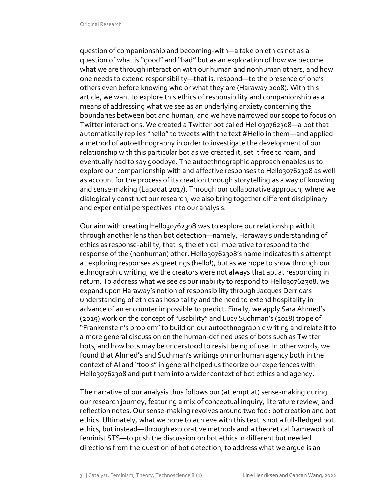question of companionship and becoming-with—a take on ethics not as a question of what is "good" and "bad" but as an exploration of how we become what we are through interaction with our human and nonhuman others, and how one needs to extend responsibility—that is, respond—to the presence of one's others even before knowing who or what they are (Haraway 2008). With this article, we want to explore this ethics of responsibility and companionship as a means of addressing what we see as an underlying anxiety concerning the boundaries between bot and human, and we have narrowed our scope to focus on Twitter interactions. We created a Twitter bot called Hello30762308-a bot that automatically replies "hello" to tweets with the text #Hello in them—and applied a method of autoethnography in order to investigate the development of our relationship with this particular bot as we created it, set it free to roam, and eventually had to say goodbye. The autoethnographic approach enables us to explore our companionship with and affective responses to Hello30762308 as well as account for the process of its creation through storytelling as a way of knowing and sense-making (Lapadat 2017). Through our collaborative approach, where we dialogically construct our research, we also bring together different disciplinary and experiential perspectives into our analysis.

Our aim with creating Hello30762308 was to explore our relationship with it through another lens than bot detection—namely, Haraway's understanding of ethics as response-ability, that is, the ethical imperative to respond to the response of the (nonhuman) other. Hello30762308's name indicates this attempt at exploring responses as greetings (hello!), but as we hope to show through our ethnographic writing, we the creators were not always that apt at responding in return. To address what we see as our inability to respond to Hello30762308, we expand upon Haraway's notion of responsibility through Jacques Derrida's understanding of ethics as hospitality and the need to extend hospitality in advance of an encounter impossible to predict. Finally, we apply Sara Ahmed's (2019) work on the concept of "usability" and Lucy Suchman's (2018) trope of "Frankenstein's problem" to build on our autoethnographic writing and relate it to a more general discussion on the human-defined uses of bots such as Twitter bots, and how bots may be understood to resist being of use. In other words, we found that Ahmed's and Suchman's writings on nonhuman agency both in the context of AI and "tools" in general helped us theorize our experiences with Hello30762308 and put them into a wider context of bot ethics and agency.

The narrative of our analysis thus follows our (attempt at) sense-making during our research journey, featuring a mix of conceptual inquiry, literature review, and reflection notes. Our sense-making revolves around two foci: bot creation and bot ethics. Ultimately, what we hope to achieve with this text is not a full-fledged bot ethics, but instead—through explorative methods and a theoretical framework of feminist STS—to push the discussion on bot ethics in different but needed directions from the question of bot detection, to address what we argue is an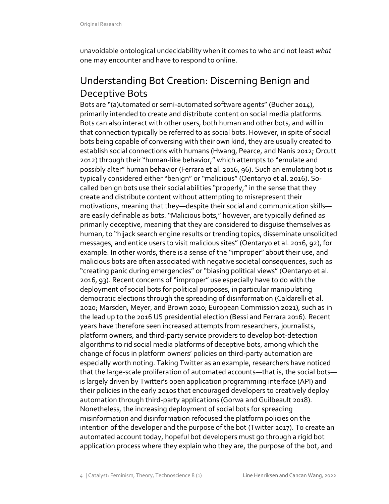unavoidable ontological undecidability when it comes to who and not least *what* one may encounter and have to respond to online.

# Understanding Bot Creation: Discerning Benign and Deceptive Bots

Bots are "(a)utomated or semi-automated software agents" (Bucher 2014), primarily intended to create and distribute content on social media platforms. Bots can also interact with other users, both human and other bots, and will in that connection typically be referred to as social bots. However, in spite of social bots being capable of conversing with their own kind, they are usually created to establish social connections with humans (Hwang, Pearce, and Nanis 2012; Orcutt 2012) through their "human-like behavior," which attempts to "emulate and possibly alter" human behavior (Ferrara et al. 2016, 96). Such an emulating bot is typically considered either "benign" or "malicious" (Oentaryo et al. 2016). Socalled benign bots use their social abilities "properly," in the sense that they create and distribute content without attempting to misrepresent their motivations, meaning that they—despite their social and communication skills are easily definable as bots. "Malicious bots," however, are typically defined as primarily deceptive, meaning that they are considered to disguise themselves as human, to "hijack search engine results or trending topics, disseminate unsolicited messages, and entice users to visit malicious sites" (Oentaryo et al. 2016, 92), for example. In other words, there is a sense of the "improper" about their use, and malicious bots are often associated with negative societal consequences, such as "creating panic during emergencies" or "biasing political views" (Oentaryo et al. 2016, 93). Recent concerns of "improper" use especially have to do with the deployment of social bots for political purposes, in particular manipulating democratic elections through the spreading of disinformation (Caldarelli et al. 2020; Marsden, Meyer, and Brown 2020; European Commission 2021), such as in the lead up to the 2016 US presidential election (Bessi and Ferrara 2016). Recent years have therefore seen increased attempts from researchers, journalists, platform owners, and third-party service providers to develop bot-detection algorithms to rid social media platforms of deceptive bots, among which the change of focus in platform owners' policies on third-party automation are especially worth noting. Taking Twitter as an example, researchers have noticed that the large-scale proliferation of automated accounts—that is, the social bots is largely driven by Twitter's open application programming interface (API) and their policies in the early 2010s that encouraged developers to creatively deploy automation through third-party applications (Gorwa and Guilbeault 2018). Nonetheless, the increasing deployment of social bots for spreading misinformation and disinformation refocused the platform policies on the intention of the developer and the purpose of the bot (Twitter 2017). To create an automated account today, hopeful bot developers must go through a rigid bot application process where they explain who they are, the purpose of the bot, and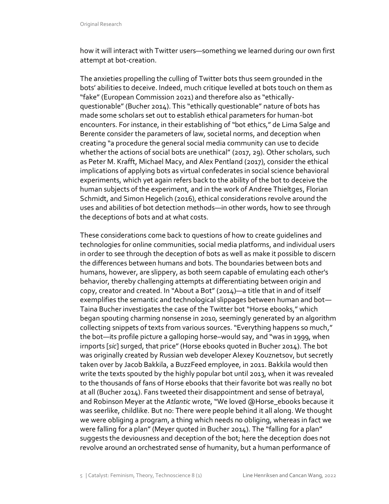how it will interact with Twitter users—something we learned during our own first attempt at bot-creation.

The anxieties propelling the culling of Twitter bots thus seem grounded in the bots' abilities to deceive. Indeed, much critique levelled at bots touch on them as "fake" (European Commission 2021) and therefore also as "ethicallyquestionable" (Bucher 2014). This "ethically questionable" nature of bots has made some scholars set out to establish ethical parameters for human-bot encounters. For instance, in their establishing of "bot ethics," de Lima Salge and Berente consider the parameters of law, societal norms, and deception when creating "a procedure the general social media community can use to decide whether the actions of social bots are unethical" (2017, 29). Other scholars, such as Peter M. Krafft, Michael Macy, and Alex Pentland (2017), consider the ethical implications of applying bots as virtual confederates in social science behavioral experiments, which yet again refers back to the ability of the bot to deceive the human subjects of the experiment, and in the work of Andree Thieltges, Florian Schmidt, and Simon Hegelich (2016), ethical considerations revolve around the uses and abilities of bot detection methods—in other words, how to see through the deceptions of bots and at what costs.

These considerations come back to questions of how to create guidelines and technologies for online communities, social media platforms, and individual users in order to see through the deception of bots as well as make it possible to discern the differences between humans and bots. The boundaries between bots and humans, however, are slippery, as both seem capable of emulating each other's behavior, thereby challenging attempts at differentiating between origin and copy, creator and created. In "About a Bot" (2014)—a title that in and of itself exemplifies the semantic and technological slippages between human and bot— Taina Bucher investigates the case of the Twitter bot "Horse ebooks," which began spouting charming nonsense in 2010, seemingly generated by an algorithm collecting snippets of texts from various sources. "Everything happens so much," the bot—its profile picture a galloping horse–would say, and "was in 1999, when irnports [*sic*] surged, that price" (Horse ebooks quoted in Bucher 2014). The bot was originally created by Russian web developer Alexey Kouznetsov, but secretly taken over by Jacob Bakkila, a BuzzFeed employee, in 2011. Bakkila would then write the texts spouted by the highly popular bot until 2013, when it was revealed to the thousands of fans of Horse ebooks that their favorite bot was really no bot at all (Bucher 2014). Fans tweeted their disappointment and sense of betrayal, and Robinson Meyer at the *Atlantic* wrote, "We loved @Horse\_ebooks because it was seerlike, childlike. But no: There were people behind it all along. We thought we were obliging a program, a thing which needs no obliging, whereas in fact we were falling for a plan" (Meyer quoted in Bucher 2014). The "falling for a plan" suggests the deviousness and deception of the bot; here the deception does not revolve around an orchestrated sense of humanity, but a human performance of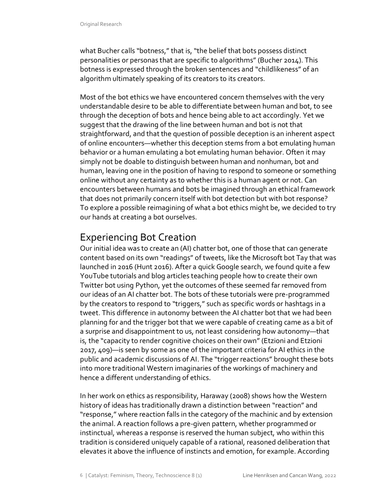what Bucher calls "botness," that is, "the belief that bots possess distinct personalities or personas that are specific to algorithms" (Bucher 2014). This botness is expressed through the broken sentences and "childlikeness" of an algorithm ultimately speaking of its creators to its creators.

Most of the bot ethics we have encountered concern themselves with the very understandable desire to be able to differentiate between human and bot, to see through the deception of bots and hence being able to act accordingly. Yet we suggest that the drawing of the line between human and bot is not that straightforward, and that the question of possible deception is an inherent aspect of online encounters—whether this deception stems from a bot emulating human behavior or a human emulating a bot emulating human behavior. Often it may simply not be doable to distinguish between human and nonhuman, bot and human, leaving one in the position of having to respond to someone or something online without any certainty as to whether this is a human agent or not. Can encounters between humans and bots be imagined through an ethical framework that does not primarily concern itself with bot detection but with bot response? To explore a possible reimagining of what a bot ethics might be, we decided to try our hands at creating a bot ourselves.

# Experiencing Bot Creation

Our initial idea was to create an (AI) chatter bot, one of those that can generate content based on its own "readings" of tweets, like the Microsoft bot Tay that was launched in 2016 (Hunt 2016). After a quick Google search, we found quite a few YouTube tutorials and blog articles teaching people how to create their own Twitter bot using Python, yet the outcomes of these seemed far removed from our ideas of an AI chatter bot. The bots of these tutorials were pre-programmed by the creators to respond to "triggers," such as specific words or hashtags in a tweet. This difference in autonomy between the AI chatter bot that we had been planning for and the trigger bot that we were capable of creating came as a bit of a surprise and disappointment to us, not least considering how autonomy—that is, the "capacity to render cognitive choices on their own" (Etzioni and Etzioni 2017, 409)—is seen by some as one of the important criteria for AI ethics in the public and academic discussions of AI. The "trigger reactions" brought these bots into more traditional Western imaginaries of the workings of machinery and hence a different understanding of ethics.

In her work on ethics as responsibility, Haraway (2008) shows how the Western history of ideas has traditionally drawn a distinction between "reaction" and "response," where reaction falls in the category of the machinic and by extension the animal. A reaction follows a pre-given pattern, whether programmed or instinctual, whereas a response is reserved the human subject, who within this tradition is considered uniquely capable of a rational, reasoned deliberation that elevates it above the influence of instincts and emotion, for example. According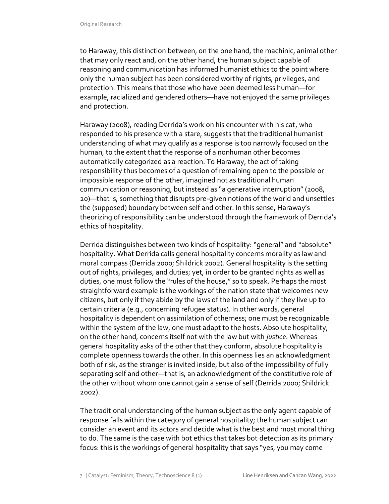to Haraway, this distinction between, on the one hand, the machinic, animal other that may only react and, on the other hand, the human subject capable of reasoning and communication has informed humanist ethics to the point where only the human subject has been considered worthy of rights, privileges, and protection. This means that those who have been deemed less human—for example, racialized and gendered others—have not enjoyed the same privileges and protection.

Haraway (2008), reading Derrida's work on his encounter with his cat, who responded to his presence with a stare, suggests that the traditional humanist understanding of what may qualify as a response is too narrowly focused on the human, to the extent that the response of a nonhuman other becomes automatically categorized as a reaction. To Haraway, the act of taking responsibility thus becomes of a question of remaining open to the possible or impossible response of the other, imagined not as traditional human communication or reasoning, but instead as "a generative interruption" (2008, 20)—that is, something that disrupts pre-given notions of the world and unsettles the (supposed) boundary between self and other. In this sense, Haraway's theorizing of responsibility can be understood through the framework of Derrida's ethics of hospitality.

Derrida distinguishes between two kinds of hospitality: "general" and "absolute" hospitality. What Derrida calls general hospitality concerns morality as law and moral compass (Derrida 2000; Shildrick 2002). General hospitality is the setting out of rights, privileges, and duties; yet, in order to be granted rights as well as duties, one must follow the "rules of the house," so to speak. Perhaps the most straightforward example is the workings of the nation state that welcomes new citizens, but only if they abide by the laws of the land and only if they live up to certain criteria (e.g., concerning refugee status). In other words, general hospitality is dependent on assimilation of otherness; one must be recognizable within the system of the law, one must adapt to the hosts. Absolute hospitality, on the other hand, concerns itself not with the law but with *justice*. Whereas general hospitality asks of the other that they conform, absolute hospitality is complete openness towards the other. In this openness lies an acknowledgment both of risk, as the stranger is invited inside, but also of the impossibility of fully separating self and other—that is, an acknowledgment of the constitutive role of the other without whom one cannot gain a sense of self (Derrida 2000; Shildrick 2002).

The traditional understanding of the human subject as the only agent capable of response falls within the category of general hospitality; the human subject can consider an event and its actors and decide what is the best and most moral thing to do. The same is the case with bot ethics that takes bot detection as its primary focus: this is the workings of general hospitality that says "yes, you may come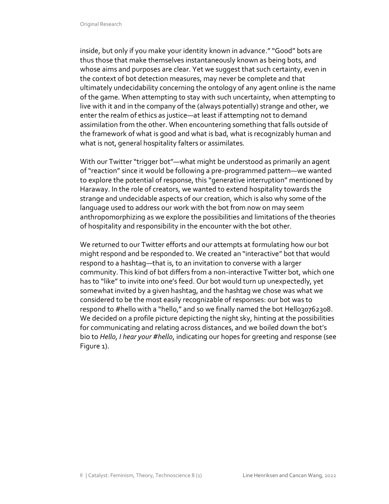inside, but only if you make your identity known in advance." "Good" bots are thus those that make themselves instantaneously known as being bots, and whose aims and purposes are clear. Yet we suggest that such certainty, even in the context of bot detection measures, may never be complete and that ultimately undecidability concerning the ontology of any agent online is the name of the game. When attempting to stay with such uncertainty, when attempting to live with it and in the company of the (always potentially) strange and other, we enter the realm of ethics as justice—at least if attempting not to demand assimilation from the other. When encountering something that falls outside of the framework of what is good and what is bad, what is recognizably human and what is not, general hospitality falters or assimilates.

With our Twitter "trigger bot"—what might be understood as primarily an agent of "reaction" since it would be following a pre-programmed pattern—we wanted to explore the potential of response, this "generative interruption" mentioned by Haraway. In the role of creators, we wanted to extend hospitality towards the strange and undecidable aspects of our creation, which is also why some of the language used to address our work with the bot from now on may seem anthropomorphizing as we explore the possibilities and limitations of the theories of hospitality and responsibility in the encounter with the bot other.

We returned to our Twitter efforts and our attempts at formulating how our bot might respond and be responded to. We created an "interactive" bot that would respond to a hashtag—that is, to an invitation to converse with a larger community. This kind of bot differs from a non-interactive Twitter bot, which one has to "like" to invite into one's feed. Our bot would turn up unexpectedly, yet somewhat invited by a given hashtag, and the hashtag we chose was what we considered to be the most easily recognizable of responses: our bot was to respond to #hello with a "hello," and so we finally named the bot Hello30762308. We decided on a profile picture depicting the night sky, hinting at the possibilities for communicating and relating across distances, and we boiled down the bot's bio to *Hello, I hear your #hello*, indicating our hopes for greeting and response (see Figure 1).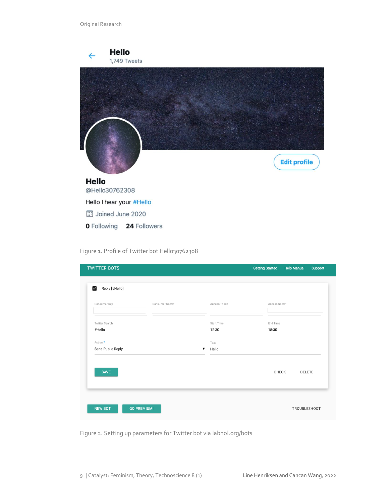| <b>Hello</b>                   | 1,749 Tweets |  |                     |
|--------------------------------|--------------|--|---------------------|
|                                |              |  |                     |
|                                |              |  |                     |
|                                |              |  |                     |
|                                |              |  |                     |
|                                |              |  | <b>Edit profile</b> |
| <b>Hello</b><br>@Hello30762308 |              |  |                     |
| Hello I hear your #Hello       |              |  |                     |
| <b>ED</b> Joined June 2020     |              |  |                     |
| <b>0</b> Following             | 24 Followers |  |                     |

Figure 1. Profile of Twitter bot Hello30762308

| Consumer Key      | Consumer Secret | Access Token      |          | Access Secret   |  |
|-------------------|-----------------|-------------------|----------|-----------------|--|
| Twitter Search    |                 | <b>Start Time</b> | End Time |                 |  |
| #Hello            |                 | 12:30             | 18:30    |                 |  |
| Action ?          |                 | Text              |          |                 |  |
| Send Public Reply |                 | Hello<br>▼        |          |                 |  |
|                   |                 |                   |          |                 |  |
| <b>SAVE</b>       |                 |                   |          | CHECK<br>DELETE |  |

Figure 2. Setting up parameters for Twitter bot via labnol.org/bots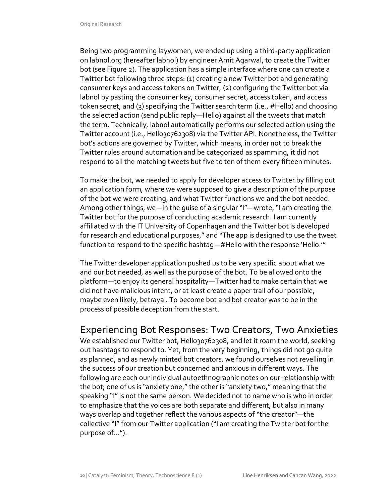Being two programming laywomen, we ended up using a third-party application on labnol.org (hereafter labnol) by engineer Amit Agarwal, to create the Twitter bot (see Figure 2). The application has a simple interface where one can create a Twitter bot following three steps: (1) creating a new Twitter bot and generating consumer keys and access tokens on Twitter, (2) configuring the Twitter bot via labnol by pasting the consumer key, consumer secret, access token, and access token secret, and (3) specifying the Twitter search term (i.e., #Hello) and choosing the selected action (send public reply—Hello) against all the tweets that match the term. Technically, labnol automatically performs our selected action using the Twitter account (i.e., Hello30762308) via the Twitter API. Nonetheless, the Twitter bot's actions are governed by Twitter, which means, in order not to break the Twitter rules around automation and be categorized as spamming, it did not respond to all the matching tweets but five to ten of them every fifteen minutes.

To make the bot, we needed to apply for developer access to Twitter by filling out an application form, where we were supposed to give a description of the purpose of the bot we were creating, and what Twitter functions we and the bot needed. Among other things, we—in the guise of a singular "I"—wrote, "I am creating the Twitter bot for the purpose of conducting academic research. I am currently affiliated with the IT University of Copenhagen and the Twitter bot is developed for research and educational purposes," and "The app is designed to use the tweet function to respond to the specific hashtag—#Hello with the response 'Hello.'"

The Twitter developer application pushed us to be very specific about what we and our bot needed, as well as the purpose of the bot. To be allowed onto the platform—to enjoy its general hospitality—Twitter had to make certain that we did not have malicious intent, or at least create a paper trail of our possible, maybe even likely, betrayal. To become bot and bot creator was to be in the process of possible deception from the start.

## Experiencing Bot Responses: Two Creators, Two Anxieties

We established our Twitter bot, Hello30762308, and let it roam the world, seeking out hashtags to respond to. Yet, from the very beginning, things did not go quite as planned, and as newly minted bot creators, we found ourselves not revelling in the success of our creation but concerned and anxious in different ways. The following are each our individual autoethnographic notes on our relationship with the bot; one of us is "anxiety one," the other is "anxiety two," meaning that the speaking "I" is not the same person. We decided not to name who is who in order to emphasize that the voices are both separate and different, but also in many ways overlap and together reflect the various aspects of "the creator"—the collective "I" from our Twitter application ("I am creating the Twitter bot for the purpose of…").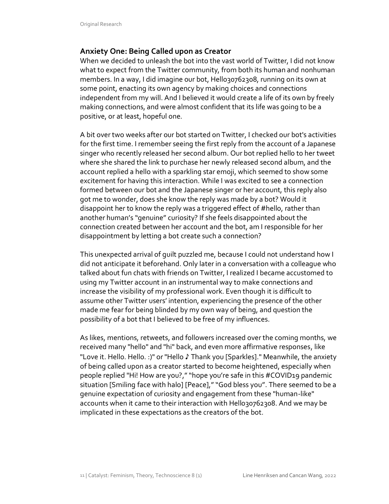### **Anxiety One: Being Called upon as Creator**

When we decided to unleash the bot into the vast world of Twitter, I did not know what to expect from the Twitter community, from both its human and nonhuman members. In a way, I did imagine our bot, Hello30762308, running on its own at some point, enacting its own agency by making choices and connections independent from my will. And I believed it would create a life of its own by freely making connections, and were almost confident that its life was going to be a positive, or at least, hopeful one.

A bit over two weeks after our bot started on Twitter, I checked our bot's activities for the first time. I remember seeing the first reply from the account of a Japanese singer who recently released her second album. Our bot replied hello to her tweet where she shared the link to purchase her newly released second album, and the account replied a hello with a sparkling star emoji, which seemed to show some excitement for having this interaction. While I was excited to see a connection formed between our bot and the Japanese singer or her account, this reply also got me to wonder, does she know the reply was made by a bot? Would it disappoint her to know the reply was a triggered effect of #hello, rather than another human's "genuine" curiosity? If she feels disappointed about the connection created between her account and the bot, am I responsible for her disappointment by letting a bot create such a connection?

This unexpected arrival of guilt puzzled me, because I could not understand how I did not anticipate it beforehand. Only later in a conversation with a colleague who talked about fun chats with friends on Twitter, I realized I became accustomed to using my Twitter account in an instrumental way to make connections and increase the visibility of my professional work. Even though it is difficult to assume other Twitter users' intention, experiencing the presence of the other made me fear for being blinded by my own way of being, and question the possibility of a bot that I believed to be free of my influences.

As likes, mentions, retweets, and followers increased over the coming months, we received many "hello" and "hi" back, and even more affirmative responses, like "Love it. Hello. Hello. :)" or "Hello ♪ Thank you [Sparkles]." Meanwhile, the anxiety of being called upon as a creator started to become heightened, especially when people replied "Hi! How are you?,""hope you're safe in this #COVID19 pandemic situation [Smiling face with halo] [Peace]," "God bless you". There seemed to be a genuine expectation of curiosity and engagement from these "human-like" accounts when it came to their interaction with Hello30762308. And we may be implicated in these expectations as the creators of the bot.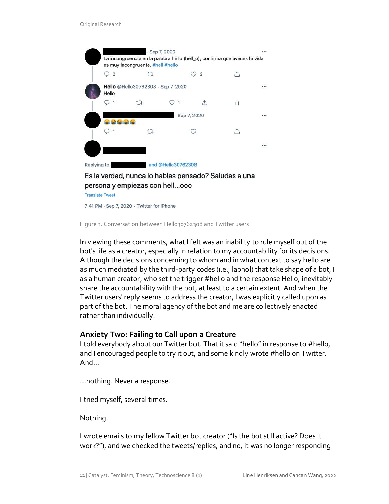

persona y empiezas con hell...ooo

**Translate Tweet** 

7:41 PM · Sep 7, 2020 · Twitter for iPhone

Figure 3. Conversation between Hello30762308 and Twitter users

In viewing these comments, what I felt was an inability to rule myself out of the bot's life as a creator, especially in relation to my accountability for its decisions. Although the decisions concerning to whom and in what context to say hello are as much mediated by the third-party codes (i.e., labnol) that take shape of a bot, I as a human creator, who set the trigger #hello and the response Hello, inevitably share the accountability with the bot, at least to a certain extent. And when the Twitter users' reply seems to address the creator, I was explicitly called upon as part of the bot. The moral agency of the bot and me are collectively enacted rather than individually.

#### **Anxiety Two: Failing to Call upon a Creature**

I told everybody about our Twitter bot. That it said "hello" in response to #hello, and I encouraged people to try it out, and some kindly wrote #hello on Twitter. And…

…nothing. Never a response.

I tried myself, several times.

Nothing.

I wrote emails to my fellow Twitter bot creator ("Is the bot still active? Does it work?"), and we checked the tweets/replies, and no, it was no longer responding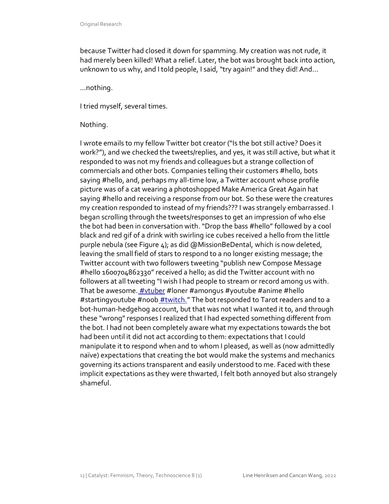because Twitter had closed it down for spamming. My creation was not rude, it had merely been killed! What a relief. Later, the bot was brought back into action, unknown to us why, and I told people, I said, "try again!" and they did! And…

…nothing.

I tried myself, several times.

#### Nothing.

I wrote emails to my fellow Twitter bot creator ("Is the bot still active? Does it work?"), and we checked the tweets/replies, and yes, it was still active, but what it responded to was not my friends and colleagues but a strange collection of commercials and other bots. Companies telling their customers #hello, bots saying #hello, and, perhaps my all-time low, a Twitter account whose profile picture was of a cat wearing a photoshopped Make America Great Again hat saying #hello and receiving a response from our bot. So these were the creatures my creation responded to instead of my friends??? I was strangely embarrassed. I began scrolling through the tweets/responses to get an impression of who else the bot had been in conversation with. "Drop the bass #hello" followed by a cool black and red gif of a drink with swirling ice cubes received a hello from the little purple nebula (see Figure 4); as did @MissionBeDental, which is now deleted, leaving the small field of stars to respond to a no longer existing message; the Twitter account with two followers tweeting "publish new Compose Message #hello 1600704862330" received a hello; as did the Twitter account with no followers at all tweeting "I wish I had people to stream or record among us with. That be awesome. **#vtuber #loner #amongus #youtube #anime #hello** #startingyoutube #noob #twitch." The bot responded to Tarot readers and to a bot-human-hedgehog account, but that was not what I wanted it to, and through these "wrong" responses I realized that I had expected something different from the bot. I had not been completely aware what my expectations towards the bot had been until it did not act according to them: expectations that I could manipulate it to respond when and to whom I pleased, as well as (now admittedly naïve) expectations that creating the bot would make the systems and mechanics governing its actions transparent and easily understood to me. Faced with these implicit expectations as they were thwarted, I felt both annoyed but also strangely shameful.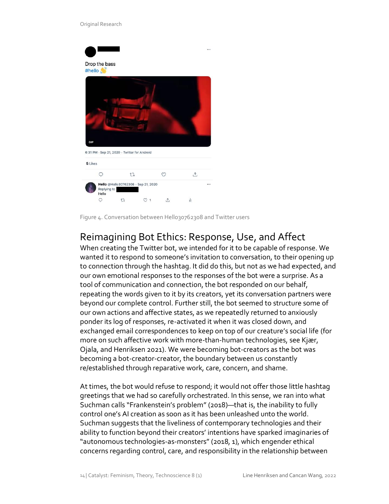#### Original Research



Figure 4. Conversation between Hello30762308 and Twitter users

# Reimagining Bot Ethics: Response, Use, and Affect

When creating the Twitter bot, we intended for it to be capable of response. We wanted it to respond to someone's invitation to conversation, to their opening up to connection through the hashtag. It did do this, but not as we had expected, and our own emotional responses to the responses of the bot were a surprise. As a tool of communication and connection, the bot responded on our behalf, repeating the words given to it by its creators, yet its conversation partners were beyond our complete control. Further still, the bot seemed to structure some of our own actions and affective states, as we repeatedly returned to anxiously ponder its log of responses, re-activated it when it was closed down, and exchanged email correspondences to keep on top of our creature's social life (for more on such affective work with more-than-human technologies, see Kjær, Ojala, and Henriksen 2021). We were becoming bot-creators as the bot was becoming a bot-creator-creator, the boundary between us constantly re/established through reparative work, care, concern, and shame.

At times, the bot would refuse to respond; it would not offer those little hashtag greetings that we had so carefully orchestrated. In this sense, we ran into what Suchman calls "Frankenstein's problem" (2018)—that is, the inability to fully control one's AI creation as soon as it has been unleashed unto the world. Suchman suggests that the liveliness of contemporary technologies and their ability to function beyond their creators' intentions have sparked imaginaries of "autonomous technologies-as-monsters" (2018, 1), which engender ethical concerns regarding control, care, and responsibility in the relationship between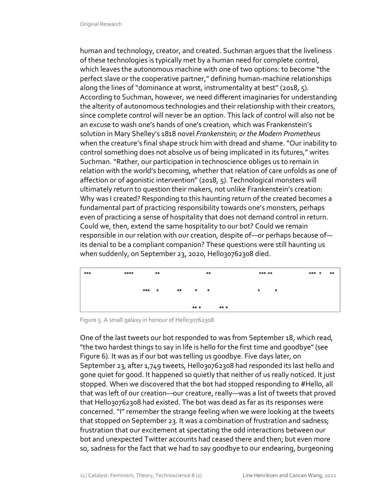human and technology, creator, and created. Suchman argues that the liveliness of these technologies is typically met by a human need for complete control, which leaves the autonomous machine with one of two options: to become "the perfect slave or the cooperative partner," defining human-machine relationships along the lines of "dominance at worst, instrumentality at best" (2018, 5). According to Suchman, however, we need different imaginaries for understanding the alterity of autonomous technologies and their relationship with their creators, since complete control will never be an option. This lack of control will also not be an excuse to wash one's hands of one's creation, which was Frankenstein's solution in Mary Shelley's 1818 novel *Frankenstein; or the Modern Prometheus* when the creature's final shape struck him with dread and shame. "Our inability to control something does not absolve us of being implicated in its futures," writes Suchman. "Rather, our participation in technoscience obliges us to remain in relation with the world's becoming, whether that relation of care unfolds as one of affection or of agonistic intervention" (2018, 5). Technological monsters will ultimately return to question their makers, not unlike Frankenstein's creation: Why was I created? Responding to this haunting return of the created becomes a fundamental part of practicing responsibility towards one's monsters, perhaps even of practicing a sense of hospitality that does not demand control in return. Could we, then, extend the same hospitality to our bot? Could we remain responsible in our relation with our creation, despite of—or perhaps because of its denial to be a compliant companion? These questions were still haunting us when suddenly, on September 23, 2020, Hello30762308 died.



Figure 5. A small galaxy in honour of Hello30762308

One of the last tweets our bot responded to was from September 18, which read, "the two hardest things to say in life is hello for the first time and goodbye" (see Figure 6). It was as if our bot was telling us goodbye. Five days later, on September 23, after 1,749 tweets, Hello30762308 had responded its last hello and gone quiet for good. It happened so quietly that neither of us really noticed. It just stopped. When we discovered that the bot had stopped responding to #Hello, all that was left of our creation—our creature, really—was a list of tweets that proved that Hello30762308 had existed. The bot was dead as far as its responses were concerned. "I" remember the strange feeling when we were looking at the tweets that stopped on September 23. It was a combination of frustration and sadness; frustration that our excitement at spectating the odd interactions between our bot and unexpected Twitter accounts had ceased there and then; but even more so, sadness for the fact that we had to say goodbye to our endearing, burgeoning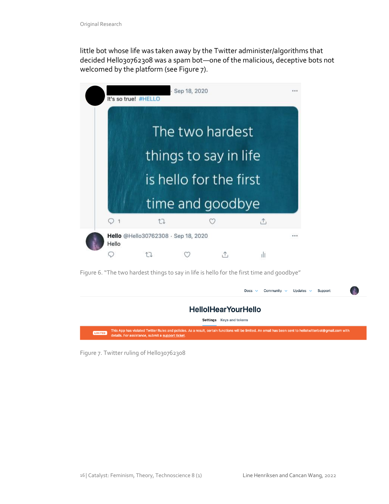little bot whose life was taken away by the Twitter administer/algorithms that decided Hello30762308 was a spam bot-one of the malicious, deceptive bots not welcomed by the platform (see Figure 7).

|                  | It's so true! #HELLO   |                                     | Sep 18, 2020 |  |   |  |  |  |
|------------------|------------------------|-------------------------------------|--------------|--|---|--|--|--|
|                  |                        |                                     |              |  |   |  |  |  |
| The two hardest  |                        |                                     |              |  |   |  |  |  |
|                  | things to say in life  |                                     |              |  |   |  |  |  |
|                  | is hello for the first |                                     |              |  |   |  |  |  |
| time and goodbye |                        |                                     |              |  |   |  |  |  |
|                  |                        | t                                   |              |  | ⚠ |  |  |  |
|                  | Hello                  | Hello @Hello30762308 · Sep 18, 2020 |              |  |   |  |  |  |
|                  |                        |                                     |              |  |   |  |  |  |

Figure 6. "The two hardest things to say in life is hello for the first time and goodbye"

|                                    | Updates $\sim$<br>Community $\sim$<br>Docs $\vee$<br>Support                                                                                                                                                    |  |  |  |  |  |  |
|------------------------------------|-----------------------------------------------------------------------------------------------------------------------------------------------------------------------------------------------------------------|--|--|--|--|--|--|
| <b>HellolHearYourHello</b>         |                                                                                                                                                                                                                 |  |  |  |  |  |  |
| <b>Keys and tokens</b><br>Settings |                                                                                                                                                                                                                 |  |  |  |  |  |  |
| <b>LIMITED</b>                     | This App has violated Twitter Rules and policies. As a result, certain functions will be limited. An email has been sent to hellotwitterbot@gmail.com with<br>details. For assistance, submit a support ticket. |  |  |  |  |  |  |

Figure 7. Twitter ruling of Hello30762308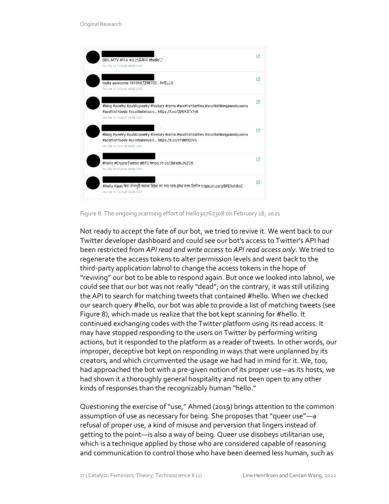

Figure 8. The ongoing scanning effort of Hello30762308 on February 18, 2021

Not ready to accept the fate of our bot, we tried to revive it. We went back to our Twitter developer dashboard and could see our bot's access to Twitter's API had been restricted from *API read and write access* to *API read access only*. We tried to regenerate the access tokens to alter permission levels and went back to the third-party application labnol to change the access tokens in the hope of "reviving" our bot to be able to respond again. But once we looked into labnol, we could see that our bot was not really "dead"; on the contrary, it was still utilizing the API to search for matching tweets that contained #hello. When we checked our search query #hello, our bot was able to provide a list of matching tweets (see Figure 8), which made us realize that the bot kept scanning for #hello. It continued exchanging codes with the Twitter platform using its read access. It may have stopped responding to the users on Twitter by performing writing actions, but it responded to the platform as a reader of tweets. In other words, our improper, deceptive bot kept on responding in ways that were unplanned by its creators, and which circumvented the usage we had had in mind for it. We, too, had approached the bot with a pre-given notion of its proper use—as its hosts, we had shown it a thoroughly general hospitality and not been open to any other kinds of responses than the recognizably human "hello."

Questioning the exercise of "use," Ahmed (2019) brings attention to the common assumption of use as necessary for being. She proposes that "queer use"—a refusal of proper use, a kind of misuse and perversion that lingers instead of getting to the point—is also a way of being. Queer use disobeys utilitarian use, which is a technique applied by those who are considered capable of reasoning and communication to control those who have been deemed less human, such as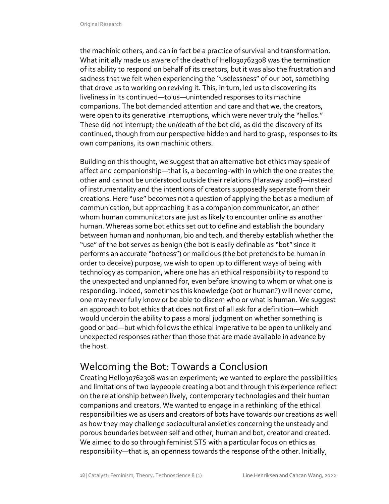the machinic others, and can in fact be a practice of survival and transformation. What initially made us aware of the death of Hello30762308 was the termination of its ability to respond on behalf of its creators, but it was also the frustration and sadness that we felt when experiencing the "uselessness" of our bot, something that drove us to working on reviving it. This, in turn, led us to discovering its liveliness in its continued—to us—unintended responses to its machine companions. The bot demanded attention and care and that we, the creators, were open to its generative interruptions, which were never truly the "hellos." These did not interrupt; the un/death of the bot did, as did the discovery of its continued, though from our perspective hidden and hard to grasp, responses to its own companions, its own machinic others.

Building on this thought, we suggest that an alternative bot ethics may speak of affect and companionship—that is, a becoming-with in which the one creates the other and cannot be understood outside their relations (Haraway 2008)—instead of instrumentality and the intentions of creators supposedly separate from their creations. Here "use" becomes not a question of applying the bot as a medium of communication, but approaching it as a companion communicator, an other whom human communicators are just as likely to encounter online as another human. Whereas some bot ethics set out to define and establish the boundary between human and nonhuman, bio and tech, and thereby establish whether the "use" of the bot serves as benign (the bot is easily definable as "bot" since it performs an accurate "botness") or malicious (the bot pretends to be human in order to deceive) purpose, we wish to open up to different ways of being with technology as companion, where one has an ethical responsibility to respond to the unexpected and unplanned for, even before knowing to whom or what one is responding. Indeed, sometimes this knowledge (bot or human?) will never come, one may never fully know or be able to discern who or what is human. We suggest an approach to bot ethics that does not first of all ask for a definition—which would underpin the ability to pass a moral judgment on whether something is good or bad—but which follows the ethical imperative to be open to unlikely and unexpected responses rather than those that are made available in advance by the host.

## Welcoming the Bot: Towards a Conclusion

Creating Hello30762308 was an experiment; we wanted to explore the possibilities and limitations of two laypeople creating a bot and through this experience reflect on the relationship between lively, contemporary technologies and their human companions and creators. We wanted to engage in a rethinking of the ethical responsibilities we as users and creators of bots have towards our creations as well as how they may challenge sociocultural anxieties concerning the unsteady and porous boundaries between self and other, human and bot, creator and created. We aimed to do so through feminist STS with a particular focus on ethics as responsibility—that is, an openness towards the response of the other. Initially,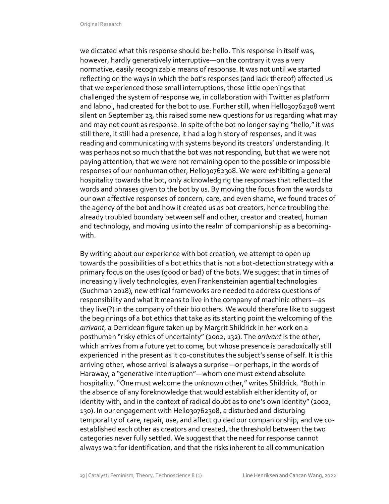we dictated what this response should be: hello. This response in itself was, however, hardly generatively interruptive—on the contrary it was a very normative, easily recognizable means of response. It was not until we started reflecting on the ways in which the bot's responses (and lack thereof) affected us that we experienced those small interruptions, those little openings that challenged the system of response we, in collaboration with Twitter as platform and labnol, had created for the bot to use. Further still, when Hello30762308 went silent on September 23, this raised some new questions for us regarding what may and may not count as response. In spite of the bot no longer saying "hello," it was still there, it still had a presence, it had a log history of responses, and it was reading and communicating with systems beyond its creators' understanding. It was perhaps not so much that the bot was not responding, but that we were not paying attention, that we were not remaining open to the possible or impossible responses of our nonhuman other, Hello30762308. We were exhibiting a general hospitality towards the bot, only acknowledging the responses that reflected the words and phrases given to the bot by us. By moving the focus from the words to our own affective responses of concern, care, and even shame, we found traces of the agency of the bot and how it created us as bot creators, hence troubling the already troubled boundary between self and other, creator and created, human and technology, and moving us into the realm of companionship as a becomingwith.

By writing about our experience with bot creation, we attempt to open up towards the possibilities of a bot ethics that is not a bot-detection strategy with a primary focus on the uses (good or bad) of the bots. We suggest that in times of increasingly lively technologies, even Frankensteinian agential technologies (Suchman 2018), new ethical frameworks are needed to address questions of responsibility and what it means to live in the company of machinic others—as they live(?) in the company of their bio others. We would therefore like to suggest the beginnings of a bot ethics that take as its starting point the welcoming of the *arrivant*, a Derridean figure taken up by Margrit Shildrick in her work on a posthuman "risky ethics of uncertainty" (2002, 132). The *arrivant* is the other, which arrives from a future yet to come, but whose presence is paradoxically still experienced in the present as it co-constitutes the subject's sense of self. It is this arriving other, whose arrival is always a surprise—or perhaps, in the words of Haraway, a "generative interruption"—whom one must extend absolute hospitality. "One must welcome the unknown other," writes Shildrick. "Both in the absence of any foreknowledge that would establish either identity of, or identity with, and in the context of radical doubt as to one's own identity" (2002, 130). In our engagement with Hello30762308, a disturbed and disturbing temporality of care, repair, use, and affect guided our companionship, and we coestablished each other as creators and created, the threshold between the two categories never fully settled. We suggest that the need for response cannot always wait for identification, and that the risks inherent to all communication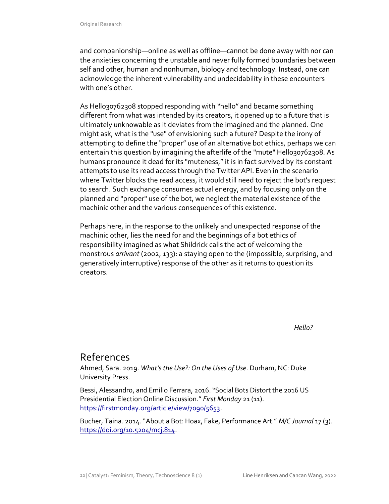and companionship—online as well as offline—cannot be done away with nor can the anxieties concerning the unstable and never fully formed boundaries between self and other, human and nonhuman, biology and technology. Instead, one can acknowledge the inherent vulnerability and undecidability in these encounters with one's other.

As Hello30762308 stopped responding with "hello" and became something different from what was intended by its creators, it opened up to a future that is ultimately unknowable as it deviates from the imagined and the planned. One might ask, what is the "use" of envisioning such a future? Despite the irony of attempting to define the "proper" use of an alternative bot ethics, perhaps we can entertain this question by imagining the afterlife of the "mute" Hello30762308. As humans pronounce it dead for its "muteness," it is in fact survived by its constant attempts to use its read access through the Twitter API. Even in the scenario where Twitter blocks the read access, it would still need to reject the bot's request to search. Such exchange consumes actual energy, and by focusing only on the planned and "proper" use of the bot, we neglect the material existence of the machinic other and the various consequences of this existence.

Perhaps here, in the response to the unlikely and unexpected response of the machinic other, lies the need for and the beginnings of a bot ethics of responsibility imagined as what Shildrick calls the act of welcoming the monstrous *arrivant* (2002, 133): a staying open to the (impossible, surprising, and generatively interruptive) response of the other as it returns to question its creators.

 *Hello?* 

# References

Ahmed, Sara. 2019. *What's the Use?: On the Uses of Use*. Durham, NC: Duke University Press.

Bessi, Alessandro, and Emilio Ferrara, 2016. "Social Bots Distort the 2016 US Presidential Election Online Discussion." *First Monday* 21 (11). [https://firstmonday.org/article/view/7090/5653.](https://firstmonday.org/article/view/7090/5653)

Bucher, Taina. 2014. "About a Bot: Hoax, Fake, Performance Art." *M/C Journal* 17 (3). [https://doi.org/10.5204/mcj.814.](https://doi.org/10.5204/mcj.814)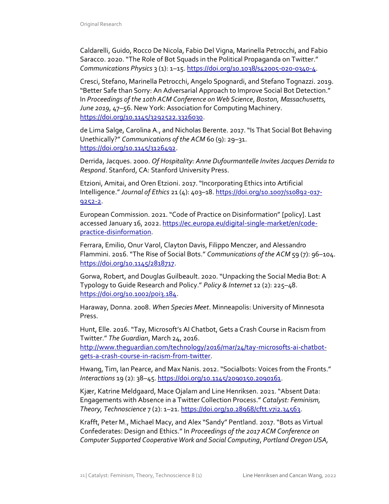Caldarelli, Guido, Rocco De Nicola, Fabio Del Vigna, Marinella Petrocchi, and Fabio Saracco. 2020. "The Role of Bot Squads in the Political Propaganda on Twitter." *Communications Physics* 3 (1): 1–15[. https://doi.org/10.1038/s42005-020-0340-4.](https://doi.org/10.1038/s42005-020-0340-4)

Cresci, Stefano, Marinella Petrocchi, Angelo Spognardi, and Stefano Tognazzi. 2019. "Better Safe than Sorry: An Adversarial Approach to Improve Social Bot Detection." In *Proceedings of the 10th ACM Conference on Web Science*, *Boston, Massachusetts, June 2019*, 47–56. New York: Association for Computing Machinery. [https://doi.org/10.1145/3292522.3326030.](https://doi.org/10.1145/3292522.3326030)

de Lima Salge, Carolina A., and Nicholas Berente. 2017. "Is That Social Bot Behaving Unethically?" *Communications of the ACM* 60 (9): 29–31. [https://doi.org/10.1145/3126492.](https://doi.org/10.1145/3126492)

Derrida, Jacques. 2000. *Of Hospitality: Anne Dufourmantelle Invites Jacques Derrida to Respond*. Stanford, CA: Stanford University Press.

Etzioni, Amitai, and Oren Etzioni. 2017. "Incorporating Ethics into Artificial Intelligence." *Journal of Ethics* 21 (4): 403–18[. https://doi.org/10.1007/s10892-017-](https://doi.org/10.1007/s10892-017-9252-2) [9252-2.](https://doi.org/10.1007/s10892-017-9252-2)

European Commission. 2021. "Code of Practice on Disinformation" [policy]. Last accessed January 16, 2022[. https://ec.europa.eu/digital-single-market/en/code](https://ec.europa.eu/digital-single-market/en/code-practice-disinformation)[practice-disinformation.](https://ec.europa.eu/digital-single-market/en/code-practice-disinformation)

Ferrara, Emilio, Onur Varol, Clayton Davis, Filippo Menczer, and Alessandro Flammini. 2016. "The Rise of Social Bots." *Communications of the ACM* 59 (7): 96–104. [https://doi.org/10.1145/2818717.](https://doi.org/10.1145/2818717)

Gorwa, Robert, and Douglas Guilbeault. 2020. "Unpacking the Social Media Bot: A Typology to Guide Research and Policy." *Policy & Internet* 12 (2): 225–48. [https://doi.org/10.1002/poi3.184.](https://doi.org/10.1002/poi3.184)

Haraway, Donna. 2008. *When Species Meet*. Minneapolis: University of Minnesota Press.

Hunt, Elle. 2016. "Tay, Microsoft's AI Chatbot, Gets a Crash Course in Racism from Twitter." *The Guardian*, March 24, 2016.

[http://www.theguardian.com/technology/2016/mar/24/tay-microsofts-ai-chatbot](http://www.theguardian.com/technology/2016/mar/24/tay-microsofts-ai-chatbot-gets-a-crash-course-in-racism-from-twitter)[gets-a-crash-course-in-racism-from-twitter.](http://www.theguardian.com/technology/2016/mar/24/tay-microsofts-ai-chatbot-gets-a-crash-course-in-racism-from-twitter)

Hwang, Tim, Ian Pearce, and Max Nanis. 2012. "Socialbots: Voices from the Fronts." *Interactions* 19 (2): 38–45. [https://doi.org/10.1145/2090150.2090161.](https://doi.org/10.1145/2090150.2090161)

Kjær, Katrine Meldgaard, Mace Ojalam and Line Henriksen. 2021. "Absent Data: Engagements with Absence in a Twitter Collection Process." *Catalyst: Feminism, Theory, Technoscience* 7 (2): 1–21. [https://doi.org/10.28968/cftt.v7i2.34563.](https://doi.org/10.28968/cftt.v7i2.34563)

Krafft, Peter M., Michael Macy, and Alex "Sandy" Pentland. 2017. "Bots as Virtual Confederates: Design and Ethics." In *Proceedings of the 2017 ACM Conference on Computer Supported Cooperative Work and Social Computing*, *Portland Oregon USA,*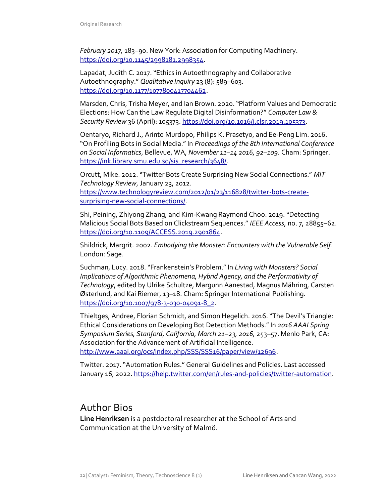*February 2017,* 183–90. New York: Association for Computing Machinery. [https://doi.org/10.1145/2998181.2998354.](https://doi.org/10.1145/2998181.2998354)

Lapadat, Judith C. 2017. "Ethics in Autoethnography and Collaborative Autoethnography." *Qualitative Inquiry* 23 (8): 589–603. [https://doi.org/10.1177/1077800417704462.](https://doi.org/10.1177%2F1077800417704462)

Marsden, Chris, Trisha Meyer, and Ian Brown. 2020. "Platform Values and Democratic Elections: How Can the Law Regulate Digital Disinformation?" *Computer Law & Security Review* 36 (April): 105373. [https://doi.org/10.1016/j.clsr.2019.105373.](https://doi.org/10.1016/j.clsr.2019.105373)

Oentaryo, Richard J., Arinto Murdopo, Philips K. Prasetyo, and Ee-Peng Lim. 2016. "On Profiling Bots in Social Media." In *Proceedings of the 8th International Conference on Social Informatics*, Bellevue, WA, *November 11–14 2016, 92–109*. Cham: Springer. [https://ink.library.smu.edu.sg/sis\\_research/3648/.](https://ink.library.smu.edu.sg/sis_research/3648/)

Orcutt, Mike. 2012. "Twitter Bots Create Surprising New Social Connections." *MIT Technology Review*, January 23, 2012. [https://www.technologyreview.com/2012/01/23/116828/twitter-bots-create](https://www.technologyreview.com/2012/01/23/116828/twitter-bots-create-surprising-new-social-connections/)[surprising-new-social-connections/.](https://www.technologyreview.com/2012/01/23/116828/twitter-bots-create-surprising-new-social-connections/)

Shi, Peining, Zhiyong Zhang, and Kim-Kwang Raymond Choo. 2019. "Detecting Malicious Social Bots Based on Clickstream Sequences." *IEEE Access*, no. 7, 28855–62. [https://doi.org/10.1109/ACCESS.2019.2901864.](https://doi.org/10.1109/ACCESS.2019.2901864)

Shildrick, Margrit. 2002. *Embodying the Monster: Encounters with the Vulnerable Self*. London: Sage.

Suchman, Lucy. 2018. "Frankenstein's Problem." In *Living with Monsters? Social Implications of Algorithmic Phenomena, Hybrid Agency, and the Performativity of Technology*, edited by Ulrike Schultze, Margunn Aanestad, Magnus Mähring, Carsten Østerlund, and Kai Riemer, 13–18. Cham: Springer International Publishing. [https://doi.org/10.1007/978-3-030-04091-8\\_2.](https://doi.org/10.1007/978-3-030-04091-8_2)

Thieltges, Andree, Florian Schmidt, and Simon Hegelich. 2016. "The Devil's Triangle: Ethical Considerations on Developing Bot Detection Methods." In *2016 AAAI Spring Symposium Series, Stanford, California, March 21–23, 2016,* 253–57. Menlo Park, CA: Association for the Advancement of Artificial Intelligence. [http://www.aaai.org/ocs/index.php/SSS/SSS16/paper/view/12696.](http://www.aaai.org/ocs/index.php/SSS/SSS16/paper/view/12696)

Twitter. 2017. "Automation Rules." General Guidelines and Policies. Last accessed

January 16, 2022[. https://help.twitter.com/en/rules-and-policies/twitter-automation.](https://help.twitter.com/en/rules-and-policies/twitter-automation)

## Author Bios

**Line Henriksen** is a postdoctoral researcher at the School of Arts and Communication at the University of Malmö.